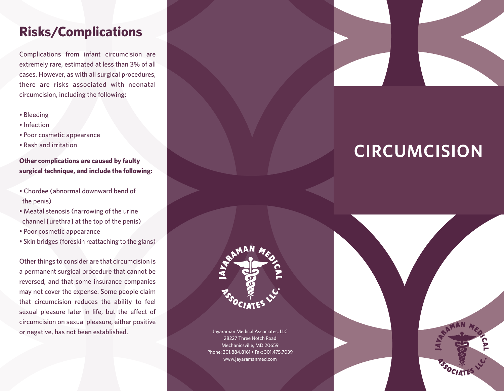# **Risks/Complications**

Complications from infant circumcision are extremely rare, estimated at less than 3% of all cases. However, as with all surgical procedures, there are risks associated with neonatal circumcision, including the following:

- Bleeding
- Infection
- Poor cosmetic appearance
- Rash and irritation

#### **Other complications are caused by faulty surgical technique, and include the following:**

- Chordee (abnormal downward bend of the penis)
- Meatal stenosis (narrowing of the urine channel [urethra] at the top of the penis)
- Poor cosmetic appearance
- Skin bridges (foreskin reattaching to the glans)

Other things to consider are that circumcision is a permanent surgical procedure that cannot be reversed, and that some insurance companies may not cover the expense. Some people claim that circumcision reduces the ability to feel sexual pleasure later in life, but the effect of circumcision on sexual pleasure, either positive or negative, has not been established.



# **CIRCUMCISION**



Jayaraman Medical Associates, LLC 28227 Three Notch Road Mechanicsville, MD 20659 Phone: 301.884.8161 • Fax: 301.475.7039 www.jayaramanmed.com